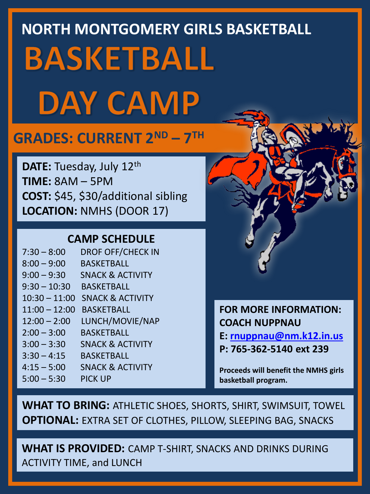# **NORTH MONTGOMERY GIRLS BASKETBALL BASKETBALL DAY CAMP**

## **GRADES: CURRENT 2ND – 7 TH**

**DATE: Tuesday, July 12th TIME:** 8AM – 5PM **COST:** \$45, \$30/additional sibling **LOCATION:** NMHS (DOOR 17)

#### **CAMP SCHEDULE**

7:30 – 8:00 DROF OFF/CHECK IN 8:00 – 9:00 BASKETBALL 9:00 – 9:30 SNACK & ACTIVITY 9:30 – 10:30 BASKETBALL 10:30 – 11:00 SNACK & ACTIVITY 11:00 – 12:00 BASKETBALL 12:00 – 2:00 LUNCH/MOVIE/NAP 2:00 – 3:00 BASKETBALL 3:00 – 3:30 SNACK & ACTIVITY 3:30 – 4:15 BASKETBALL 4:15 – 5:00 SNACK & ACTIVITY 5:00 – 5:30 PICK UP

**FOR MORE INFORMATION: COACH NUPPNAU E: [rnuppnau@nm.k12.in.us](mailto:rnuppnau@nm.k12.in.us) P: 765-362-5140 ext 239**

**Proceeds will benefit the NMHS girls basketball program.**

**WHAT TO BRING:** ATHLETIC SHOES, SHORTS, SHIRT, SWIMSUIT, TOWEL **OPTIONAL:** EXTRA SET OF CLOTHES, PILLOW, SLEEPING BAG, SNACKS

**WHAT IS PROVIDED:** CAMP T-SHIRT, SNACKS AND DRINKS DURING ACTIVITY TIME, and LUNCH